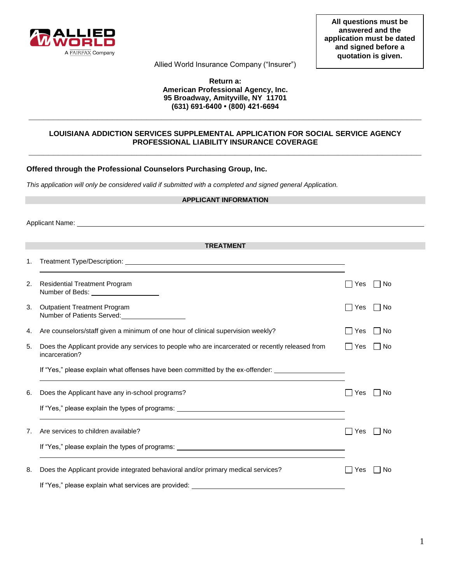

Allied World Insurance Company ("Insurer")

## **Return a: American Professional Agency, Inc. 95 Broadway, Amityville, NY 11701 (631) 691-6400 • (800) 421-6694**

# **LOUISIANA ADDICTION SERVICES SUPPLEMENTAL APPLICATION FOR SOCIAL SERVICE AGENCY PROFESSIONAL LIABILITY INSURANCE COVERAGE \_\_\_\_\_\_\_\_\_\_\_\_\_\_\_\_\_\_\_\_\_\_\_\_\_\_\_\_\_\_\_\_\_\_\_\_\_\_\_\_\_\_\_\_\_\_\_\_\_\_\_\_\_\_\_\_\_\_\_\_\_\_\_\_\_\_\_\_\_\_\_\_\_\_\_\_\_\_\_\_**

**\_\_\_\_\_\_\_\_\_\_\_\_\_\_\_\_\_\_\_\_\_\_\_\_\_\_\_\_\_\_\_\_\_\_\_\_\_\_\_\_\_\_\_\_\_\_\_\_\_\_\_\_\_\_\_\_\_\_\_\_\_\_\_\_\_\_\_\_\_\_\_\_\_\_\_\_\_\_\_\_** 

## **Offered through the Professional Counselors Purchasing Group, Inc.**

*This application will only be considered valid if submitted with a completed and signed general Application.* 

| <b>APPLICANT INFORMATION</b> |                                                                                                                    |                                    |  |
|------------------------------|--------------------------------------------------------------------------------------------------------------------|------------------------------------|--|
|                              |                                                                                                                    |                                    |  |
|                              | <b>TREATMENT</b>                                                                                                   |                                    |  |
|                              |                                                                                                                    |                                    |  |
| 1.                           |                                                                                                                    |                                    |  |
| 2.                           | <b>Residential Treatment Program</b><br>Number of Beds: _____________________                                      | $\Box$ No<br>$\perp$<br>Yes        |  |
| 3.                           | <b>Outpatient Treatment Program</b><br>Number of Patients Served:<br><u>Number of Patients Served:</u>             | $\Box$ No<br>l IYes                |  |
| 4.                           | Are counselors/staff given a minimum of one hour of clinical supervision weekly?                                   | l INo<br>Yes                       |  |
| 5.                           | Does the Applicant provide any services to people who are incarcerated or recently released from<br>incarceration? | $\Box$ No<br>∣∣Yes                 |  |
|                              | If "Yes," please explain what offenses have been committed by the ex-offender:                                     |                                    |  |
| 6.                           | Does the Applicant have any in-school programs?                                                                    | <b>No</b><br>Yes<br>$\blacksquare$ |  |
|                              |                                                                                                                    |                                    |  |
| 7.                           | Are services to children available?                                                                                | No<br>Yes                          |  |
|                              |                                                                                                                    |                                    |  |
| 8.                           | Does the Applicant provide integrated behavioral and/or primary medical services?                                  | No<br>Yes                          |  |
|                              | If "Yes," please explain what services are provided: ___________________________                                   |                                    |  |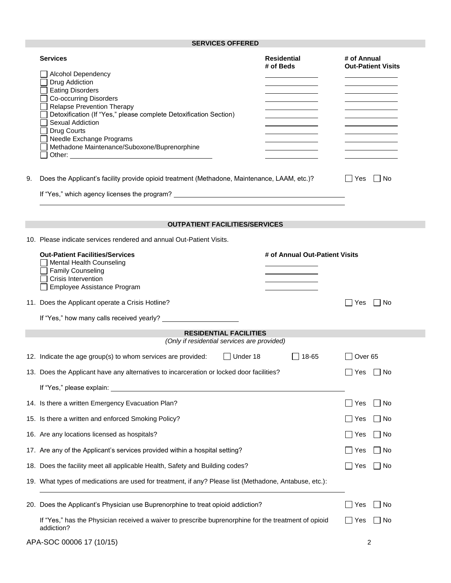# **SERVICES OFFERED**

|    | <b>Services</b><br><b>Alcohol Dependency</b><br>Drug Addiction<br><b>Eating Disorders</b><br><b>Co-occurring Disorders</b><br><b>Relapse Prevention Therapy</b><br>Detoxification (If "Yes," please complete Detoxification Section)<br>Sexual Addiction<br>Drug Courts<br>Needle Exchange Programs<br>Methadone Maintenance/Suboxone/Buprenorphine | <b>Residential</b><br># of Beds | # of Annual<br><b>Out-Patient Visits</b> |
|----|-----------------------------------------------------------------------------------------------------------------------------------------------------------------------------------------------------------------------------------------------------------------------------------------------------------------------------------------------------|---------------------------------|------------------------------------------|
| 9. | Does the Applicant's facility provide opioid treatment (Methadone, Maintenance, LAAM, etc.)?                                                                                                                                                                                                                                                        |                                 | No<br>Yes                                |
|    |                                                                                                                                                                                                                                                                                                                                                     |                                 |                                          |
|    | <b>OUTPATIENT FACILITIES/SERVICES</b>                                                                                                                                                                                                                                                                                                               |                                 |                                          |
|    | 10. Please indicate services rendered and annual Out-Patient Visits.                                                                                                                                                                                                                                                                                |                                 |                                          |
|    | <b>Out-Patient Facilities/Services</b><br><b>Mental Health Counseling</b><br><b>Family Counseling</b><br><b>Crisis Intervention</b><br>Employee Assistance Program                                                                                                                                                                                  | # of Annual Out-Patient Visits  |                                          |
|    | 11. Does the Applicant operate a Crisis Hotline?                                                                                                                                                                                                                                                                                                    |                                 | No<br>∣ I Yes                            |
|    |                                                                                                                                                                                                                                                                                                                                                     |                                 |                                          |
|    | <b>RESIDENTIAL FACILITIES</b><br>(Only if residential services are provided)                                                                                                                                                                                                                                                                        |                                 |                                          |
|    | $\Box$ Under 18<br>12. Indicate the age group(s) to whom services are provided:                                                                                                                                                                                                                                                                     | $\Box$ 18-65                    | Over <sub>65</sub>                       |
|    | 13. Does the Applicant have any alternatives to incarceration or locked door facilities?                                                                                                                                                                                                                                                            |                                 | l IYes<br>∣ I No                         |
|    | If "Yes," please explain:                                                                                                                                                                                                                                                                                                                           |                                 |                                          |
|    | 14. Is there a written Emergency Evacuation Plan?                                                                                                                                                                                                                                                                                                   |                                 | No<br>Yes                                |
|    | 15. Is there a written and enforced Smoking Policy?                                                                                                                                                                                                                                                                                                 |                                 | $\Box$ No<br>∣ ∣ Yes                     |
|    | 16. Are any locations licensed as hospitals?                                                                                                                                                                                                                                                                                                        |                                 | l INo<br>∐ Yes                           |
|    | 17. Are any of the Applicant's services provided within a hospital setting?                                                                                                                                                                                                                                                                         |                                 | $\Box$ No<br>∣ Yes                       |
|    | 18. Does the facility meet all applicable Health, Safety and Building codes?                                                                                                                                                                                                                                                                        |                                 | ∐ No<br>Yes                              |
|    | 19. What types of medications are used for treatment, if any? Please list (Methadone, Antabuse, etc.):                                                                                                                                                                                                                                              |                                 |                                          |
|    | 20. Does the Applicant's Physician use Buprenorphine to treat opioid addiction?                                                                                                                                                                                                                                                                     |                                 | Yes<br>    No                            |
|    | If "Yes," has the Physician received a waiver to prescribe buprenorphine for the treatment of opioid<br>addiction?                                                                                                                                                                                                                                  |                                 | ∣∣Yes<br>    No                          |
|    | APA-SOC 00006 17 (10/15)                                                                                                                                                                                                                                                                                                                            |                                 | 2                                        |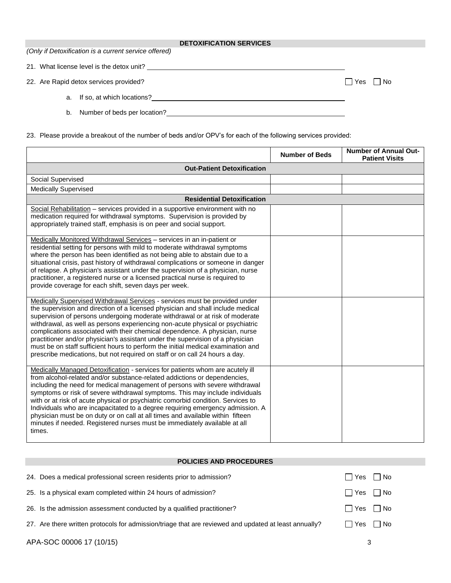#### **DETOXIFICATION SERVICES**

*(Only if Detoxification is a current service offered)*

21. What license level is the detox unit?

22. Are Rapid detox services provided?  $\Box$  Yes  $\Box$  No

- a. If so, at which locations?
- b. Number of beds per location?

23. Please provide a breakout of the number of beds and/or OPV's for each of the following services provided:

|                                                                                                                                                                                                                                                                                                                                                                                                                                                                                                                                                                                                                                                                          | <b>Number of Beds</b> | <b>Number of Annual Out-</b><br><b>Patient Visits</b> |  |
|--------------------------------------------------------------------------------------------------------------------------------------------------------------------------------------------------------------------------------------------------------------------------------------------------------------------------------------------------------------------------------------------------------------------------------------------------------------------------------------------------------------------------------------------------------------------------------------------------------------------------------------------------------------------------|-----------------------|-------------------------------------------------------|--|
| <b>Out-Patient Detoxification</b>                                                                                                                                                                                                                                                                                                                                                                                                                                                                                                                                                                                                                                        |                       |                                                       |  |
| Social Supervised                                                                                                                                                                                                                                                                                                                                                                                                                                                                                                                                                                                                                                                        |                       |                                                       |  |
| <b>Medically Supervised</b>                                                                                                                                                                                                                                                                                                                                                                                                                                                                                                                                                                                                                                              |                       |                                                       |  |
| <b>Residential Detoxification</b>                                                                                                                                                                                                                                                                                                                                                                                                                                                                                                                                                                                                                                        |                       |                                                       |  |
| Social Rehabilitation - services provided in a supportive environment with no<br>medication required for withdrawal symptoms. Supervision is provided by<br>appropriately trained staff, emphasis is on peer and social support.                                                                                                                                                                                                                                                                                                                                                                                                                                         |                       |                                                       |  |
| Medically Monitored Withdrawal Services - services in an in-patient or<br>residential setting for persons with mild to moderate withdrawal symptoms<br>where the person has been identified as not being able to abstain due to a<br>situational crisis, past history of withdrawal complications or someone in danger<br>of relapse. A physician's assistant under the supervision of a physician, nurse<br>practitioner, a registered nurse or a licensed practical nurse is required to<br>provide coverage for each shift, seven days per week.                                                                                                                      |                       |                                                       |  |
| Medically Supervised Withdrawal Services - services must be provided under<br>the supervision and direction of a licensed physician and shall include medical<br>supervision of persons undergoing moderate withdrawal or at risk of moderate<br>withdrawal, as well as persons experiencing non-acute physical or psychiatric<br>complications associated with their chemical dependence. A physician, nurse<br>practitioner and/or physician's assistant under the supervision of a physician<br>must be on staff sufficient hours to perform the initial medical examination and<br>prescribe medications, but not required on staff or on call 24 hours a day.       |                       |                                                       |  |
| Medically Managed Detoxification - services for patients whom are acutely ill<br>from alcohol-related and/or substance-related addictions or dependencies,<br>including the need for medical management of persons with severe withdrawal<br>symptoms or risk of severe withdrawal symptoms. This may include individuals<br>with or at risk of acute physical or psychiatric comorbid condition. Services to<br>Individuals who are incapacitated to a degree requiring emergency admission. A<br>physician must be on duty or on call at all times and available within fifteen<br>minutes if needed. Registered nurses must be immediately available at all<br>times. |                       |                                                       |  |

### **POLICIES AND PROCEDURES**

| $\Box$ Yes $\Box$ No                         |
|----------------------------------------------|
| $\Box$ Yes $\Box$ No                         |
|                                              |
|                                              |
| $\Box$ Yes $\Box$ No<br>$\Box$ Yes $\Box$ No |

APA-SOC 00006 17 (10/15) 3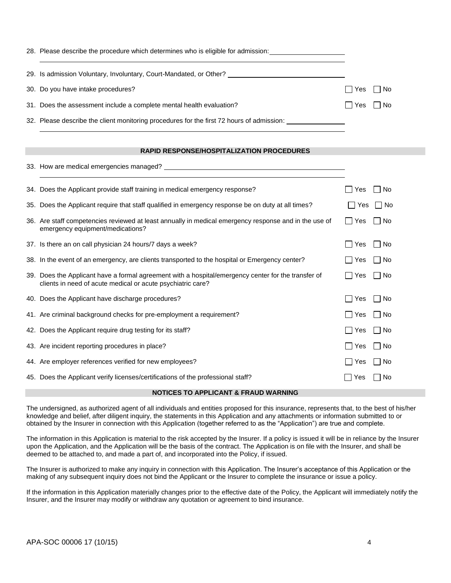| 28. Please describe the procedure which determines who is eligible for admission:         |                     |
|-------------------------------------------------------------------------------------------|---------------------|
| 29. Is admission Voluntary, Involuntary, Court-Mandated, or Other?                        |                     |
| 30. Do you have intake procedures?                                                        | $\Box$ Yes<br>l INo |
| 31. Does the assessment include a complete mental health evaluation?                      | No<br>l I Yes       |
| 32. Please describe the client monitoring procedures for the first 72 hours of admission: |                     |

#### **RAPID RESPONSE/HOSPITALIZATION PROCEDURES**

|     | oo: 110W are modical chilorgencies managed.                                                                                                                        |        |                             |
|-----|--------------------------------------------------------------------------------------------------------------------------------------------------------------------|--------|-----------------------------|
|     | 34. Does the Applicant provide staff training in medical emergency response?                                                                                       | Yes    | No                          |
| 35. | Does the Applicant require that staff qualified in emergency response be on duty at all times?                                                                     | Yes    | – I No                      |
|     | 36. Are staff competencies reviewed at least annually in medical emergency response and in the use of<br>emergency equipment/medications?                          | l IYes | $\n  7$ No                  |
|     | 37. Is there an on call physician 24 hours/7 days a week?                                                                                                          | Yes    | No                          |
|     | 38. In the event of an emergency, are clients transported to the hospital or Emergency center?                                                                     | Yes    | <b>No</b><br>$\blacksquare$ |
|     | 39. Does the Applicant have a formal agreement with a hospital/emergency center for the transfer of<br>clients in need of acute medical or acute psychiatric care? | Yes    | No                          |
|     | 40. Does the Applicant have discharge procedures?                                                                                                                  | Yes    | No                          |
|     | 41. Are criminal background checks for pre-employment a requirement?                                                                                               | Yes    | l No                        |
|     | 42. Does the Applicant require drug testing for its staff?                                                                                                         | Yes    | – I No                      |
|     | 43. Are incident reporting procedures in place?                                                                                                                    | Yes    | No<br>$\blacksquare$        |
|     | 44. Are employer references verified for new employees?                                                                                                            | Yes    | No                          |
|     | 45. Does the Applicant verify licenses/certifications of the professional staff?                                                                                   | Yes    | No                          |

#### **NOTICES TO APPLICANT & FRAUD WARNING**

The undersigned, as authorized agent of all individuals and entities proposed for this insurance, represents that, to the best of his/her knowledge and belief, after diligent inquiry, the statements in this Application and any attachments or information submitted to or obtained by the Insurer in connection with this Application (together referred to as the "Application") are true and complete.

The information in this Application is material to the risk accepted by the Insurer. If a policy is issued it will be in reliance by the Insurer upon the Application, and the Application will be the basis of the contract. The Application is on file with the Insurer, and shall be deemed to be attached to, and made a part of, and incorporated into the Policy, if issued.

The Insurer is authorized to make any inquiry in connection with this Application. The Insurer's acceptance of this Application or the making of any subsequent inquiry does not bind the Applicant or the Insurer to complete the insurance or issue a policy.

If the information in this Application materially changes prior to the effective date of the Policy, the Applicant will immediately notify the Insurer, and the Insurer may modify or withdraw any quotation or agreement to bind insurance.

33. How are medical emergencies managed?